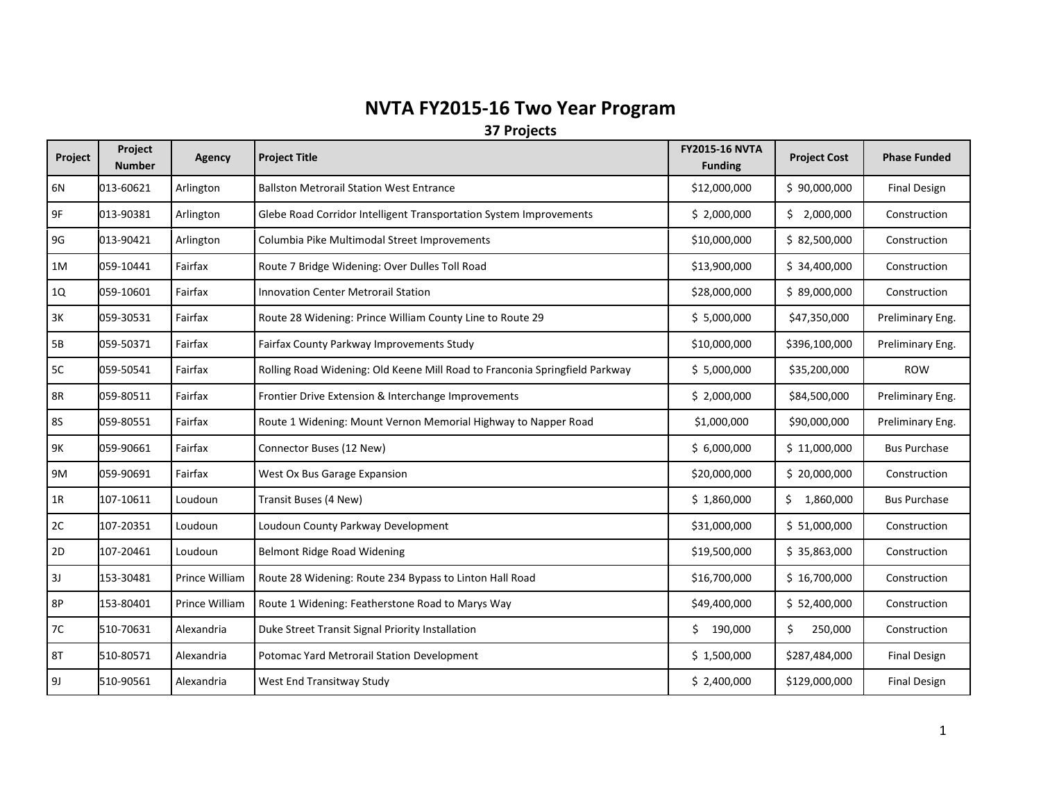## **NVTA FY2015-16 Two Year Program**

**37 Projects**

| Project   | Project<br><b>Number</b> | Agency         | <b>Project Title</b>                                                        | <b>FY2015-16 NVTA</b><br><b>Funding</b> | <b>Project Cost</b> | <b>Phase Funded</b> |
|-----------|--------------------------|----------------|-----------------------------------------------------------------------------|-----------------------------------------|---------------------|---------------------|
| 6N        | 013-60621                | Arlington      | <b>Ballston Metrorail Station West Entrance</b>                             | \$12,000,000                            | \$90,000,000        | <b>Final Design</b> |
| 9F        | 013-90381                | Arlington      | Glebe Road Corridor Intelligent Transportation System Improvements          | \$2,000,000                             | \$2,000,000         | Construction        |
| 9G        | 013-90421                | Arlington      | Columbia Pike Multimodal Street Improvements                                | \$10,000,000                            | \$ 82,500,000       | Construction        |
| 1M        | 059-10441                | Fairfax        | Route 7 Bridge Widening: Over Dulles Toll Road                              | \$13,900,000                            | \$34,400,000        | Construction        |
| 1Q        | 059-10601                | Fairfax        | <b>Innovation Center Metrorail Station</b>                                  | \$28,000,000                            | \$89,000,000        | Construction        |
| 3K        | 059-30531                | Fairfax        | Route 28 Widening: Prince William County Line to Route 29                   | \$5,000,000                             | \$47,350,000        | Preliminary Eng.    |
| <b>5B</b> | 059-50371                | Fairfax        | Fairfax County Parkway Improvements Study                                   | \$10,000,000                            | \$396,100,000       | Preliminary Eng.    |
| 5C        | 059-50541                | Fairfax        | Rolling Road Widening: Old Keene Mill Road to Franconia Springfield Parkway | \$5,000,000                             | \$35,200,000        | <b>ROW</b>          |
| <b>8R</b> | 059-80511                | Fairfax        | Frontier Drive Extension & Interchange Improvements                         | \$2,000,000                             | \$84,500,000        | Preliminary Eng.    |
| 85        | 059-80551                | Fairfax        | Route 1 Widening: Mount Vernon Memorial Highway to Napper Road              | \$1,000,000                             | \$90,000,000        | Preliminary Eng.    |
| 9K        | 059-90661                | Fairfax        | Connector Buses (12 New)                                                    | \$6,000,000                             | \$11,000,000        | <b>Bus Purchase</b> |
| 9M        | 059-90691                | Fairfax        | West Ox Bus Garage Expansion                                                | \$20,000,000                            | \$20,000,000        | Construction        |
| 1R        | 107-10611                | Loudoun        | Transit Buses (4 New)                                                       | \$1,860,000                             | \$1,860,000         | <b>Bus Purchase</b> |
| 2C        | 107-20351                | Loudoun        | Loudoun County Parkway Development                                          | \$31,000,000                            | \$1,000,000         | Construction        |
| 2D        | 107-20461                | Loudoun        | Belmont Ridge Road Widening                                                 | \$19,500,000                            | \$35,863,000        | Construction        |
| 3J        | 153-30481                | Prince William | Route 28 Widening: Route 234 Bypass to Linton Hall Road                     | \$16,700,000                            | \$16,700,000        | Construction        |
| 8P        | 153-80401                | Prince William | Route 1 Widening: Featherstone Road to Marys Way                            | \$49,400,000                            | \$ 52,400,000       | Construction        |
| 7C        | 510-70631                | Alexandria     | Duke Street Transit Signal Priority Installation                            | \$190,000                               | \$<br>250,000       | Construction        |
| <b>8T</b> | 510-80571                | Alexandria     | Potomac Yard Metrorail Station Development                                  | \$1,500,000                             | \$287,484,000       | <b>Final Design</b> |
| 9J        | 510-90561                | Alexandria     | West End Transitway Study                                                   | \$2,400,000                             | \$129,000,000       | <b>Final Design</b> |